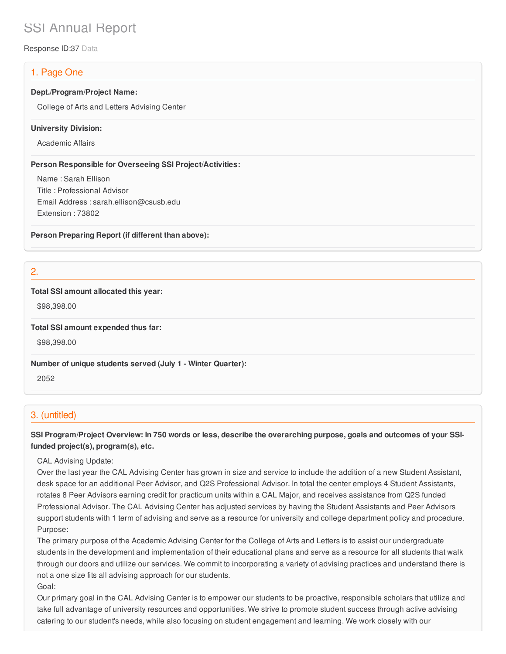# SSI Annual Report

Response ID:37 Data

# 1. Page One

#### **Dept./Program/Project Name:**

College of Arts and Letters Advising Center

#### **University Division:**

Academic Affairs

#### **Person Responsible for Overseeing SSI Project/Activities:**

Name : Sarah Ellison Title : Professional Advisor Email Address : sarah.ellison@csusb.edu Extension : 73802

**Person Preparing Report (if different than above):**

2.

## **Total SSI amount allocated this year:**

\$98,398.00

**Total SSI amount expended thus far:**

\$98,398.00

**Number of unique students served (July 1 - Winter Quarter):**

2052

## 3. (untitled)

SSI Program/Project Overview: In 750 words or less, describe the overarching purpose, goals and outcomes of your SSI**funded project(s), program(s), etc.**

CAL Advising Update:

Over the last year the CAL Advising Center has grown in size and service to include the addition of a new Student Assistant, desk space for an additional Peer Advisor, and Q2S Professional Advisor. In total the center employs 4 Student Assistants, rotates 8 Peer Advisors earning credit for practicum units within a CAL Major, and receives assistance from Q2S funded Professional Advisor. The CAL Advising Center has adjusted services by having the Student Assistants and Peer Advisors support students with 1 term of advising and serve as a resource for university and college department policy and procedure. Purpose:

The primary purpose of the Academic Advising Center for the College of Arts and Letters is to assist our undergraduate students in the development and implementation of their educational plans and serve as a resource for all students that walk through our doors and utilize our services. We commit to incorporating a variety of advising practices and understand there is not a one size fits all advising approach for our students. Goal:

Our primary goal in the CAL Advising Center is to empower our students to be proactive, responsible scholars that utilize and take full advantage of university resources and opportunities. We strive to promote student success through active advising catering to our student's needs, while also focusing on student engagement and learning. We work closely with our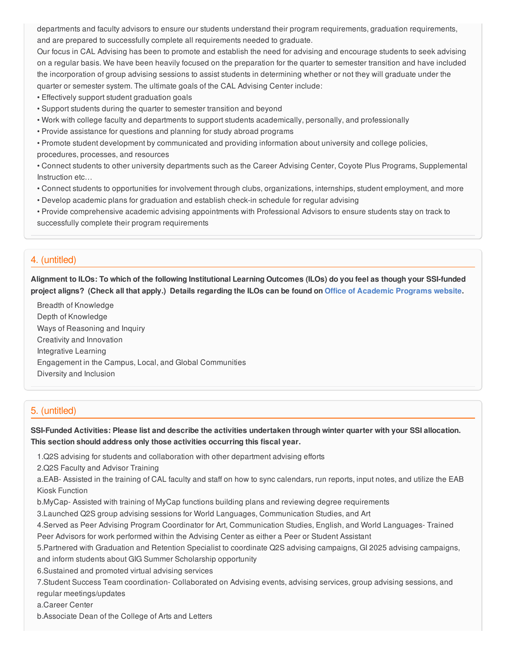departments and faculty advisors to ensure our students understand their program requirements, graduation requirements, and are prepared to successfully complete all requirements needed to graduate.

Our focus in CAL Advising has been to promote and establish the need for advising and encourage students to seek advising on a regular basis. We have been heavily focused on the preparation for the quarter to semester transition and have included the incorporation of group advising sessions to assist students in determining whether or not they will graduate under the quarter or semester system. The ultimate goals of the CAL Advising Center include:

- Effectively support student graduation goals
- Support students during the quarter to semester transition and beyond
- Work with college faculty and departments to support students academically, personally, and professionally
- Provide assistance for questions and planning for study abroad programs

• Promote student development by communicated and providing information about university and college policies, procedures, processes, and resources

• Connect students to other university departments such as the Career Advising Center, Coyote Plus Programs, Supplemental Instruction etc…

- Connect students to opportunities for involvement through clubs, organizations, internships, student employment, and more
- Develop academic plans for graduation and establish check-in schedule for regular advising

• Provide comprehensive academic advising appointments with Professional Advisors to ensure students stay on track to successfully complete their program requirements

## 4. (untitled)

Alignment to ILOs: To which of the following Institutional Learning Outcomes (ILOs) do you feel as though your SSI-funded project aligns? (Check all that apply.) Details regarding the ILOs can be found on Office of [Academic](https://www.csusb.edu/sites/csusb/files/CSUSB_Institutional_Learning_Outcomes-Endorsed.pdf) Programs website.

Breadth of Knowledge Depth of Knowledge Ways of Reasoning and Inquiry Creativity and Innovation Integrative Learning Engagement in the Campus, Local, and Global Communities Diversity and Inclusion

## 5. (untitled)

SSI-Funded Activities: Please list and describe the activities undertaken through winter quarter with your SSI allocation. **This section should address only those activities occurring this fiscal year.**

1.Q2S advising for students and collaboration with other department advising efforts

2.Q2S Faculty and Advisor Training

a.EAB- Assisted in the training of CAL faculty and staff on how to sync calendars, run reports, input notes, and utilize the EAB Kiosk Function

b.MyCap- Assisted with training of MyCap functions building plans and reviewing degree requirements

3.Launched Q2S group advising sessions for World Languages, Communication Studies, and Art

4.Served as Peer Advising Program Coordinator for Art, Communication Studies, English, and World Languages- Trained Peer Advisors for work performed within the Advising Center as either a Peer or Student Assistant

5.Partnered with Graduation and Retention Specialist to coordinate Q2S advising campaigns, GI 2025 advising campaigns, and inform students about GIG Summer Scholarship opportunity

6.Sustained and promoted virtual advising services

7.Student Success Team coordination- Collaborated on Advising events, advising services, group advising sessions, and regular meetings/updates

a.Career Center

b.Associate Dean of the College of Arts and Letters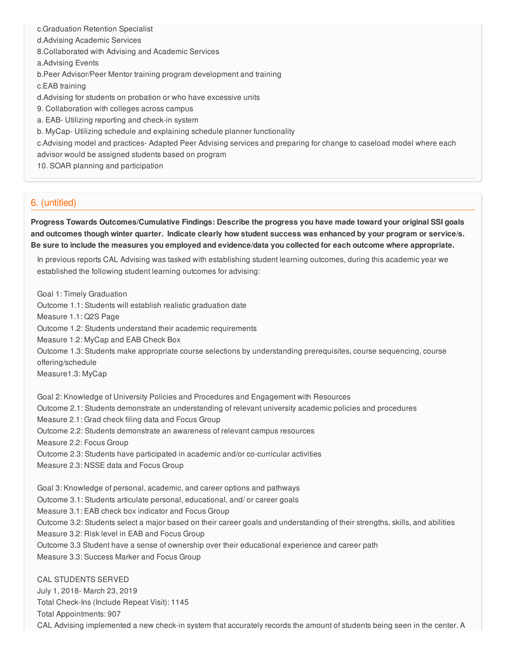c.Graduation Retention Specialist d.Advising Academic Services 8.Collaborated with Advising and Academic Services a.Advising Events b.Peer Advisor/Peer Mentor training program development and training c.EAB training d.Advising for students on probation or who have excessive units 9. Collaboration with colleges across campus a. EAB- Utilizing reporting and check-in system b. MyCap- Utilizing schedule and explaining schedule planner functionality c.Advising model and practices- Adapted Peer Advising services and preparing for change to caseload model where each advisor would be assigned students based on program 10. SOAR planning and participation

## 6. (untitled)

**Progress Towards Outcomes/Cumulative Findings: Describe the progress you have made toward your original SSI goals** and outcomes though winter quarter. Indicate clearly how student success was enhanced by your program or service/s. Be sure to include the measures you employed and evidence/data you collected for each outcome where appropriate.

In previous reports CAL Advising was tasked with establishing student learning outcomes, during this academic year we established the following student learning outcomes for advising:

Goal 1: Timely Graduation Outcome 1.1: Students will establish realistic graduation date Measure 1.1: Q2S Page Outcome 1.2: Students understand their academic requirements Measure 1.2: MyCap and EAB Check Box Outcome 1.3: Students make appropriate course selections by understanding prerequisites, course sequencing, course offering/schedule Measure1.3: MyCap Goal 2: Knowledge of University Policies and Procedures and Engagement with Resources

Outcome 2.1: Students demonstrate an understanding of relevant university academic policies and procedures

Measure 2.1: Grad check filing data and Focus Group

Outcome 2.2: Students demonstrate an awareness of relevant campus resources

Measure 2.2: Focus Group

Outcome 2.3: Students have participated in academic and/or co-curricular activities

Measure 2.3: NSSE data and Focus Group

Goal 3: Knowledge of personal, academic, and career options and pathways Outcome 3.1: Students articulate personal, educational, and/ or career goals Measure 3.1: EAB check box indicator and Focus Group Outcome 3.2: Students select a major based on their career goals and understanding of their strengths, skills, and abilities Measure 3.2: Risk level in EAB and Focus Group Outcome 3.3 Student have a sense of ownership over their educational experience and career path Measure 3.3: Success Marker and Focus Group

CAL STUDENTS SERVED July 1, 2018- March 23, 2019 Total Check-Ins (Include Repeat Visit): 1145 Total Appointments: 907 CAL Advising implemented a new check-in system that accurately records the amount of students being seen in the center. A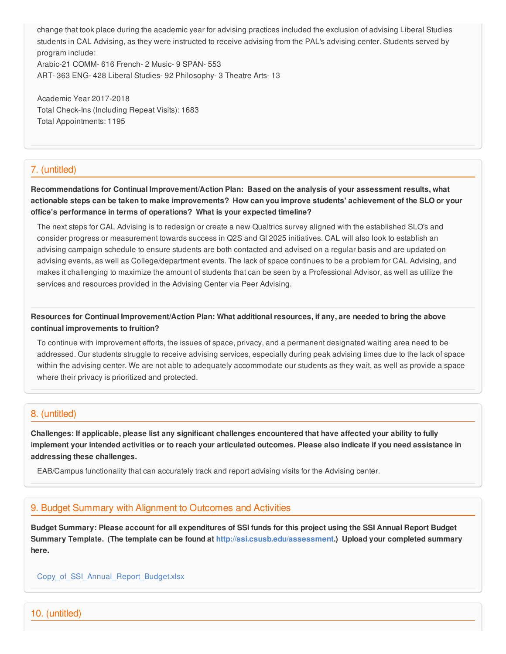change that took place during the academic year for advising practices included the exclusion of advising Liberal Studies students in CAL Advising, as they were instructed to receive advising from the PAL's advising center. Students served by program include: Arabic-21 COMM- 616 French- 2 Music- 9 SPAN- 553 ART- 363 ENG- 428 Liberal Studies- 92 Philosophy- 3 Theatre Arts- 13

Academic Year 2017-2018 Total Check-Ins (Including Repeat Visits): 1683 Total Appointments: 1195

## 7. (untitled)

**Recommendations for Continual Improvement/Action Plan: Based on the analysis of your assessment results, what** actionable steps can be taken to make improvements? How can you improve students' achievement of the SLO or your **office's performance in terms of operations? What is your expected timeline?**

The next steps for CAL Advising is to redesign or create a new Qualtrics survey aligned with the established SLO's and consider progress or measurement towards success in Q2S and GI 2025 initiatives. CAL will also look to establish an advising campaign schedule to ensure students are both contacted and advised on a regular basis and are updated on advising events, as well as College/department events. The lack of space continues to be a problem for CAL Advising, and makes it challenging to maximize the amount of students that can be seen by a Professional Advisor, as well as utilize the services and resources provided in the Advising Center via Peer Advising.

Resources for Continual Improvement/Action Plan: What additional resources, if any, are needed to bring the above **continual improvements to fruition?**

To continue with improvement efforts, the issues of space, privacy, and a permanent designated waiting area need to be addressed. Our students struggle to receive advising services, especially during peak advising times due to the lack of space within the advising center. We are not able to adequately accommodate our students as they wait, as well as provide a space where their privacy is prioritized and protected.

## 8. (untitled)

Challenges: If applicable, please list any significant challenges encountered that have affected your ability to fully implement your intended activities or to reach your articulated outcomes. Please also indicate if you need assistance in **addressing these challenges.**

EAB/Campus functionality that can accurately track and report advising visits for the Advising center.

## 9. Budget Summary with Alignment to Outcomes and Activities

Budget Summary: Please account for all expenditures of SSI funds for this project using the SSI Annual Report Budget **Summary Template. (The template can be found at <http://ssi.csusb.edu/assessment>.) Upload your completed summary here.**

[Copy\\_of\\_SSI\\_Annual\\_Report\\_Budget.xlsx](https://surveygizmoresponseuploads.s3.amazonaws.com/fileuploads/98679/3939151/26-f138fa74517073f8856e864dc37beeb1_Copy_of_SSI_Annual_Report_Budget.xlsx)

10. (untitled)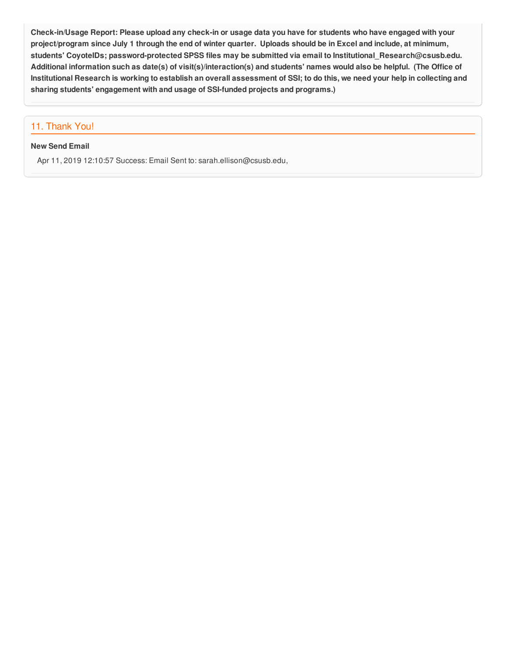Check-in/Usage Report: Please upload any check-in or usage data you have for students who have engaged with your project/program since July 1 through the end of winter quarter. Uploads should be in Excel and include, at minimum, **students' CoyoteIDs; password-protected SPSS files may be submitted via email to Institutional\_Research@csusb.edu.** Additional information such as date(s) of visit(s)/interaction(s) and students' names would also be helpful. (The Office of Institutional Research is working to establish an overall assessment of SSI; to do this, we need your help in collecting and **sharing students' engagement with and usage of SSI-funded projects and programs.)**

# 11. Thank You!

#### **New Send Email**

Apr 11, 2019 12:10:57 Success: Email Sent to: sarah.ellison@csusb.edu,